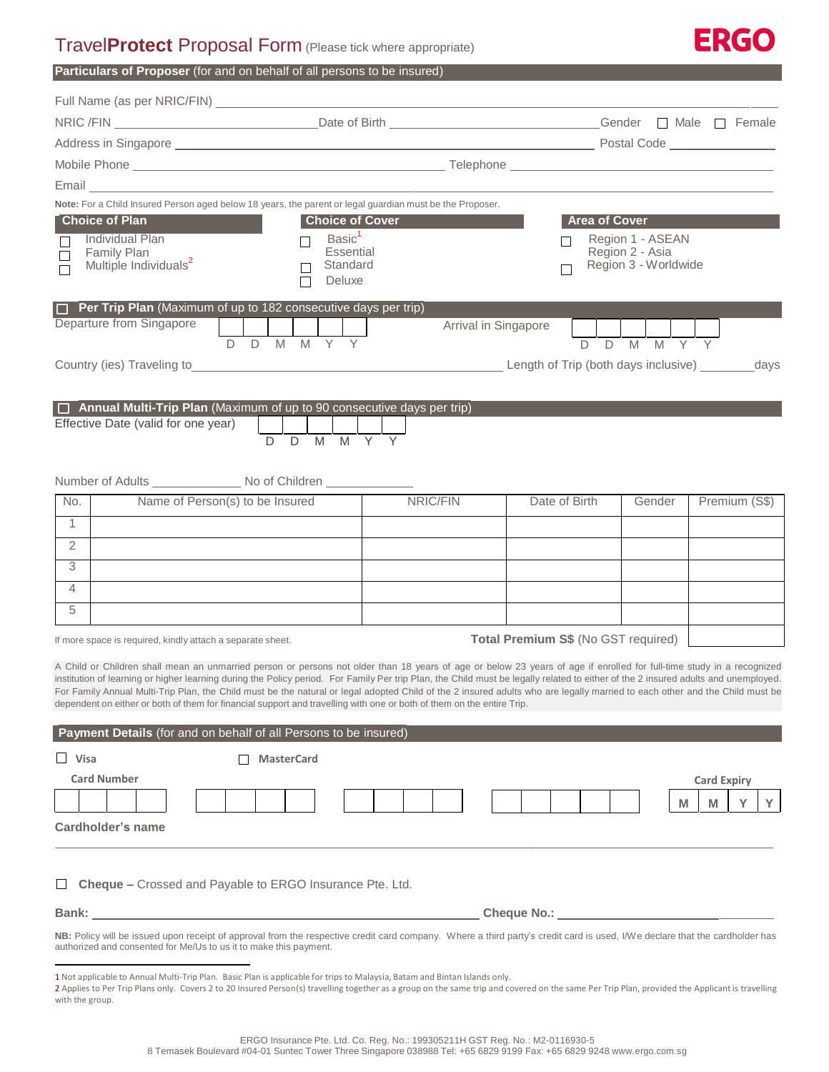# Travel**Protect** Proposal Form (Please tick where appropriate)



|  |  |  | <b>Particulars of Proposer</b> (for and on behalf of all persons to be insured) |  |
|--|--|--|---------------------------------------------------------------------------------|--|
|--|--|--|---------------------------------------------------------------------------------|--|

|                 | Email <b>Executive Service Service Service Service Service Service Service Service Service Service Service Service Service Service Service Service Service Service Service Service Service Service Service Service Service Servi</b>                                                                                                                                                                                                                                                                                                                                                                                                                                                                                              |  |                                                                                                                                                                        |  |   |    |                   |       |                |        |  |  |                      |  |  |  |   |              |                         |                                     |   |                                                                                                                                                                                                                                |   |   |  |
|-----------------|-----------------------------------------------------------------------------------------------------------------------------------------------------------------------------------------------------------------------------------------------------------------------------------------------------------------------------------------------------------------------------------------------------------------------------------------------------------------------------------------------------------------------------------------------------------------------------------------------------------------------------------------------------------------------------------------------------------------------------------|--|------------------------------------------------------------------------------------------------------------------------------------------------------------------------|--|---|----|-------------------|-------|----------------|--------|--|--|----------------------|--|--|--|---|--------------|-------------------------|-------------------------------------|---|--------------------------------------------------------------------------------------------------------------------------------------------------------------------------------------------------------------------------------|---|---|--|
|                 | Note: For a Child Insured Person aged below 18 years, the parent or legal guardian must be the Proposer.                                                                                                                                                                                                                                                                                                                                                                                                                                                                                                                                                                                                                          |  |                                                                                                                                                                        |  |   |    |                   |       |                |        |  |  |                      |  |  |  |   |              |                         |                                     |   |                                                                                                                                                                                                                                |   |   |  |
|                 | <b>Choice of Plan</b><br>Individual Plan<br><b>Family Plan</b><br>Multiple Individuals <sup>2</sup>                                                                                                                                                                                                                                                                                                                                                                                                                                                                                                                                                                                                                               |  | <b>Area of Cover</b><br><b>Choice of Cover</b><br>Basic <sup>1</sup><br>Region 1 - ASEAN<br>Essential<br>Region 2 - Asia<br>Region 3 - Worldwide<br>Standard<br>Deluxe |  |   |    |                   |       |                |        |  |  |                      |  |  |  |   |              |                         |                                     |   |                                                                                                                                                                                                                                |   |   |  |
|                 | $\Box$ Per Trip Plan (Maximum of up to 182 consecutive days per trip)                                                                                                                                                                                                                                                                                                                                                                                                                                                                                                                                                                                                                                                             |  |                                                                                                                                                                        |  |   |    |                   |       |                |        |  |  |                      |  |  |  |   |              |                         |                                     |   |                                                                                                                                                                                                                                |   |   |  |
|                 | Departure from Singapore                                                                                                                                                                                                                                                                                                                                                                                                                                                                                                                                                                                                                                                                                                          |  |                                                                                                                                                                        |  |   |    |                   |       | Y              |        |  |  | Arrival in Singapore |  |  |  |   |              |                         |                                     |   |                                                                                                                                                                                                                                |   |   |  |
|                 |                                                                                                                                                                                                                                                                                                                                                                                                                                                                                                                                                                                                                                                                                                                                   |  |                                                                                                                                                                        |  | D | D  |                   | M M Y |                |        |  |  |                      |  |  |  | D | $\mathsf{D}$ | $\overline{M}$          | $\overline{M}$                      |   |                                                                                                                                                                                                                                |   |   |  |
|                 | $\Box$ Annual Multi-Trip Plan (Maximum of up to 90 consecutive days per trip)<br>Effective Date (valid for one year)                                                                                                                                                                                                                                                                                                                                                                                                                                                                                                                                                                                                              |  |                                                                                                                                                                        |  |   | D. | D                 | M     | $\overline{M}$ | Y<br>Y |  |  |                      |  |  |  |   |              |                         |                                     |   |                                                                                                                                                                                                                                |   |   |  |
|                 |                                                                                                                                                                                                                                                                                                                                                                                                                                                                                                                                                                                                                                                                                                                                   |  |                                                                                                                                                                        |  |   |    |                   |       |                |        |  |  |                      |  |  |  |   |              |                         |                                     |   |                                                                                                                                                                                                                                |   |   |  |
| No.             | Name of Person(s) to be Insured                                                                                                                                                                                                                                                                                                                                                                                                                                                                                                                                                                                                                                                                                                   |  |                                                                                                                                                                        |  |   |    | NRIC/FIN          |       |                |        |  |  | Date of Birth        |  |  |  |   |              | Premium (S\$)<br>Gender |                                     |   |                                                                                                                                                                                                                                |   |   |  |
| $\mathbf{1}$    |                                                                                                                                                                                                                                                                                                                                                                                                                                                                                                                                                                                                                                                                                                                                   |  |                                                                                                                                                                        |  |   |    |                   |       |                |        |  |  |                      |  |  |  |   |              |                         |                                     |   |                                                                                                                                                                                                                                |   |   |  |
| $\overline{2}$  |                                                                                                                                                                                                                                                                                                                                                                                                                                                                                                                                                                                                                                                                                                                                   |  |                                                                                                                                                                        |  |   |    |                   |       |                |        |  |  |                      |  |  |  |   |              |                         |                                     |   |                                                                                                                                                                                                                                |   |   |  |
| 3               |                                                                                                                                                                                                                                                                                                                                                                                                                                                                                                                                                                                                                                                                                                                                   |  |                                                                                                                                                                        |  |   |    |                   |       |                |        |  |  |                      |  |  |  |   |              |                         |                                     |   |                                                                                                                                                                                                                                |   |   |  |
| $\overline{4}$  |                                                                                                                                                                                                                                                                                                                                                                                                                                                                                                                                                                                                                                                                                                                                   |  |                                                                                                                                                                        |  |   |    |                   |       |                |        |  |  |                      |  |  |  |   |              |                         |                                     |   |                                                                                                                                                                                                                                |   |   |  |
| 5               |                                                                                                                                                                                                                                                                                                                                                                                                                                                                                                                                                                                                                                                                                                                                   |  |                                                                                                                                                                        |  |   |    |                   |       |                |        |  |  |                      |  |  |  |   |              |                         |                                     |   |                                                                                                                                                                                                                                |   |   |  |
|                 |                                                                                                                                                                                                                                                                                                                                                                                                                                                                                                                                                                                                                                                                                                                                   |  |                                                                                                                                                                        |  |   |    |                   |       |                |        |  |  |                      |  |  |  |   |              |                         | Total Premium S\$ (No GST required) |   |                                                                                                                                                                                                                                |   |   |  |
|                 | If more space is required, kindly attach a separate sheet.<br>A Child or Children shall mean an unmarried person or persons not older than 18 years of age or below 23 years of age if enrolled for full-time study in a recognized<br>institution of learning or higher learning during the Policy period. For Family Per trip Plan, the Child must be legally related to either of the 2 insured adults and unemployed.<br>For Family Annual Multi-Trip Plan, the Child must be the natural or legal adopted Child of the 2 insured adults who are legally married to each other and the Child must be<br>dependent on either or both of them for financial support and travelling with one or both of them on the entire Trip. |  |                                                                                                                                                                        |  |   |    |                   |       |                |        |  |  |                      |  |  |  |   |              |                         |                                     |   |                                                                                                                                                                                                                                |   |   |  |
|                 | Payment Details (for and on behalf of all Persons to be insured)                                                                                                                                                                                                                                                                                                                                                                                                                                                                                                                                                                                                                                                                  |  |                                                                                                                                                                        |  |   |    |                   |       |                |        |  |  |                      |  |  |  |   |              |                         |                                     |   |                                                                                                                                                                                                                                |   |   |  |
| $\Box$ Visa     |                                                                                                                                                                                                                                                                                                                                                                                                                                                                                                                                                                                                                                                                                                                                   |  |                                                                                                                                                                        |  |   |    | <b>MasterCard</b> |       |                |        |  |  |                      |  |  |  |   |              |                         |                                     |   |                                                                                                                                                                                                                                |   |   |  |
|                 | <b>Card Number</b>                                                                                                                                                                                                                                                                                                                                                                                                                                                                                                                                                                                                                                                                                                                |  |                                                                                                                                                                        |  |   |    |                   |       |                |        |  |  |                      |  |  |  |   |              |                         |                                     |   | <b>Card Expiry</b>                                                                                                                                                                                                             |   |   |  |
|                 |                                                                                                                                                                                                                                                                                                                                                                                                                                                                                                                                                                                                                                                                                                                                   |  |                                                                                                                                                                        |  |   |    |                   |       |                |        |  |  |                      |  |  |  |   |              |                         |                                     | M | M                                                                                                                                                                                                                              | Y | Y |  |
|                 | Cardholder's name                                                                                                                                                                                                                                                                                                                                                                                                                                                                                                                                                                                                                                                                                                                 |  |                                                                                                                                                                        |  |   |    |                   |       |                |        |  |  |                      |  |  |  |   |              |                         |                                     |   |                                                                                                                                                                                                                                |   |   |  |
|                 | Cheque - Crossed and Payable to ERGO Insurance Pte. Ltd.<br>NB: Policy will be issued upon receipt of approval from the respective credit card company. Where a third party's credit card is used, I/We declare that the cardholder has<br>authorized and consented for Me/Us to us it to make this payment.                                                                                                                                                                                                                                                                                                                                                                                                                      |  |                                                                                                                                                                        |  |   |    |                   |       |                |        |  |  |                      |  |  |  |   |              |                         |                                     |   | Cheque No.: Network and the state of the state of the state of the state of the state of the state of the state of the state of the state of the state of the state of the state of the state of the state of the state of the |   |   |  |
| with the group. | 1 Not applicable to Annual Multi-Trip Plan. Basic Plan is applicable for trips to Malaysia, Batam and Bintan Islands only.<br>2 Applies to Per Trip Plans only. Covers 2 to 20 Insured Person(s) travelling together as a group on the same trip and covered on the same Per Trip Plan, provided the Applicant is travelling                                                                                                                                                                                                                                                                                                                                                                                                      |  |                                                                                                                                                                        |  |   |    |                   |       |                |        |  |  |                      |  |  |  |   |              |                         |                                     |   |                                                                                                                                                                                                                                |   |   |  |